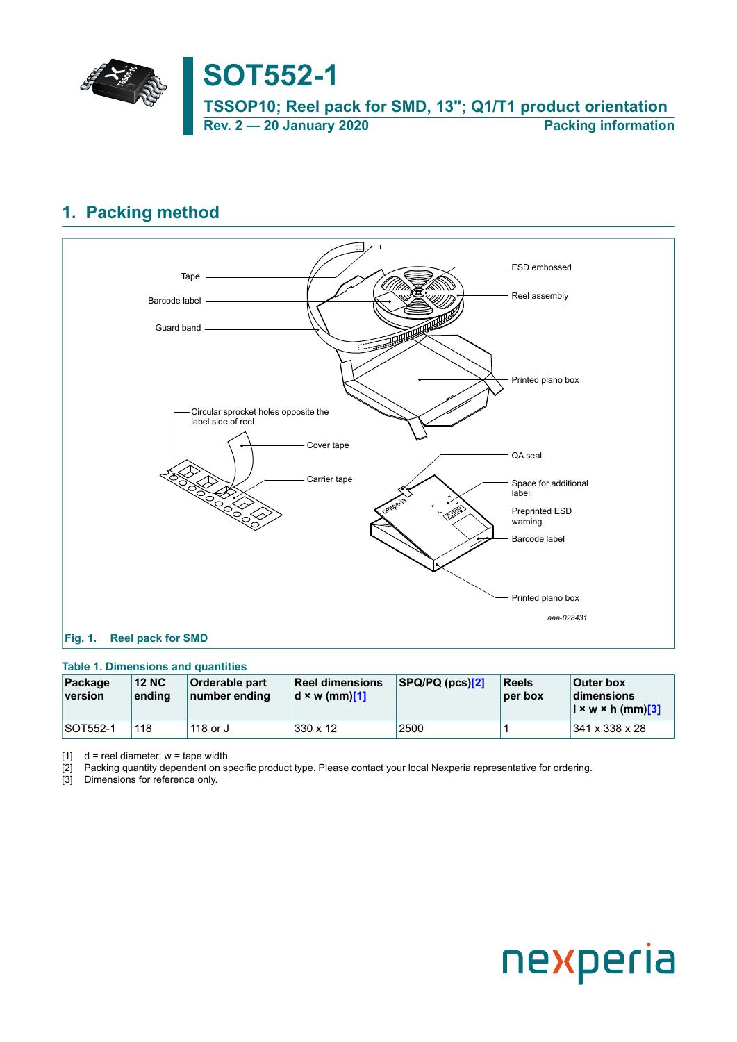

## **SOT552-1**

<span id="page-0-0"></span>**TSSOP10; Reel pack for SMD, 13''; Q1/T1 product orientation Rev. 2 — 20 January 2020 Packing information**

## **1. Packing method**

<span id="page-0-1"></span>

#### <span id="page-0-2"></span>**Table 1. Dimensions and quantities**

| Package<br>version | <b>12 NC</b><br>ending | <b>Orderable part</b><br>Inumber ending | <b>Reel dimensions</b><br>$\mathbf{d} \times \mathbf{w}$ (mm)[1] | $ $ SPQ/PQ (pcs)[2] | <b>Reels</b><br>per box | Outer box<br>dimensions<br>$\vert x \vert \times \vert x \rangle$ is the limit of $\vert 3 \vert$ |
|--------------------|------------------------|-----------------------------------------|------------------------------------------------------------------|---------------------|-------------------------|---------------------------------------------------------------------------------------------------|
| <b>SOT552-1</b>    | 118                    | 118 or J                                | 330 x 12                                                         | 2500                |                         | $ 341 \times 338 \times 28$                                                                       |

 $[1]$  d = reel diameter; w = tape width.

[2] Packing quantity dependent on specific product type. Please contact your local Nexperia representative for ordering.

[3] Dimensions for reference only.

# nexperia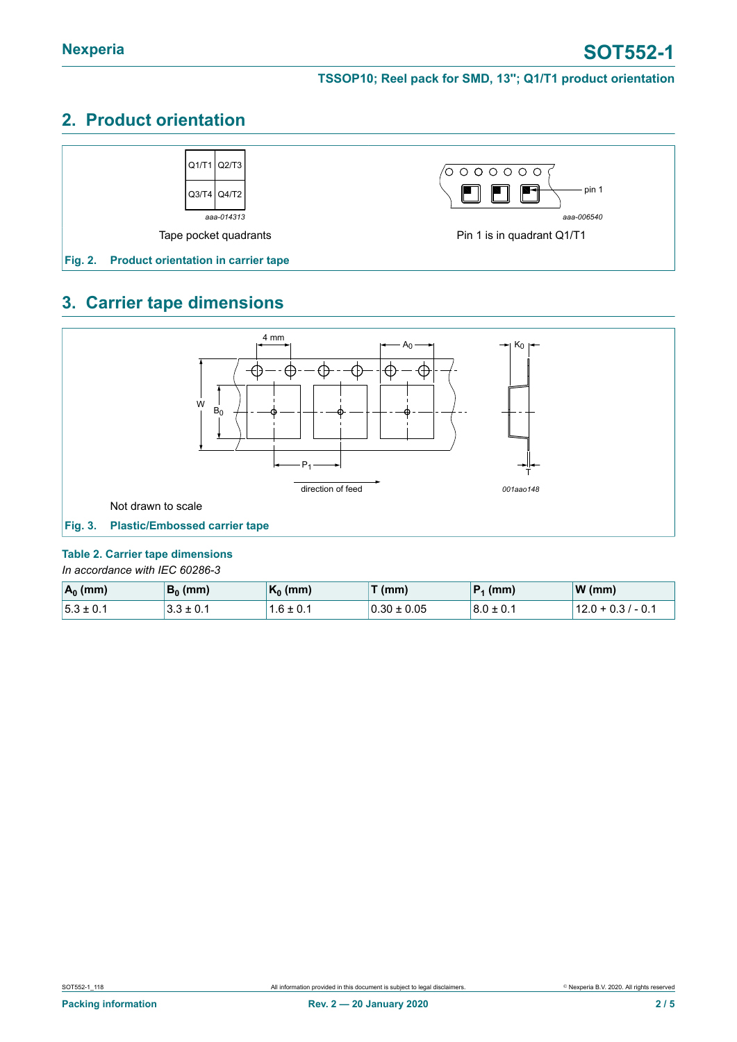## **2. Product orientation**



## **3. Carrier tape dimensions**



#### <span id="page-1-0"></span>**Table 2. Carrier tape dimensions**

*In accordance with IEC 60286-3*

| $A_0$ (mm)     | $B_0$ (mm)  | $K_0$ (mm) | $T$ (mm)        | $ P_1$ (mm)    | $W$ (mm)             |
|----------------|-------------|------------|-----------------|----------------|----------------------|
| $15.3 \pm 0.1$ | l 3.3 ± 0.1 | 1.6 ± 0.1  | $0.30 \pm 0.05$ | $18.0 \pm 0.1$ | $12.0 + 0.3 / - 0.1$ |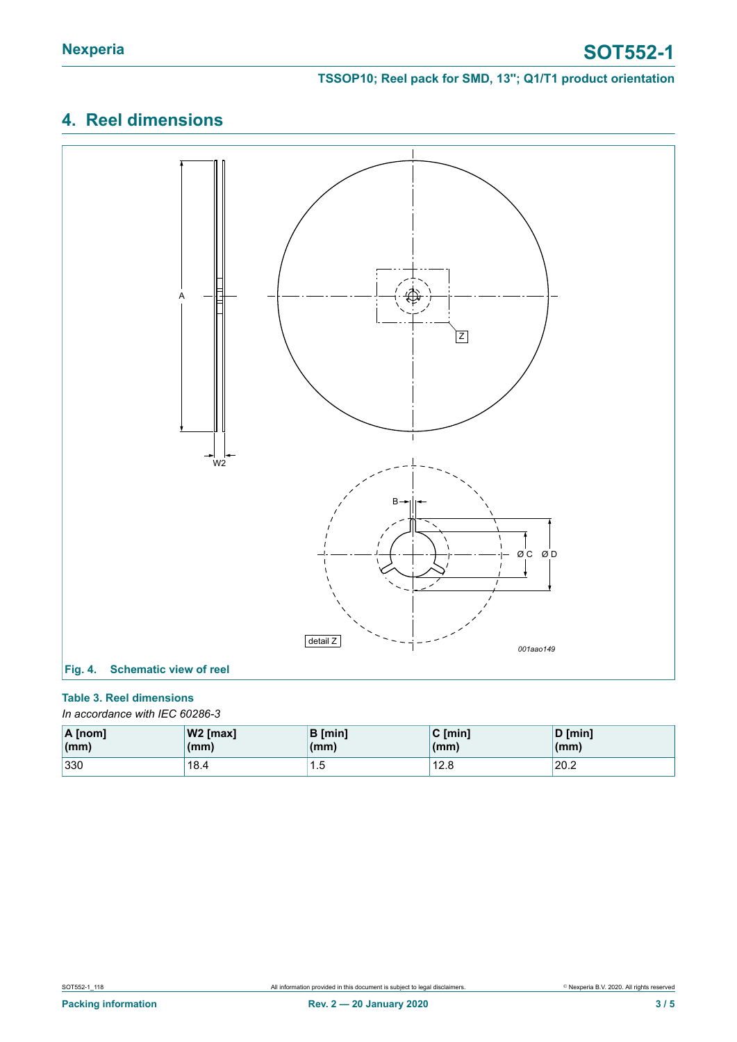#### **TSSOP10; Reel pack for SMD, 13''; Q1/T1 product orientation**

## **4. Reel dimensions**



#### <span id="page-2-0"></span>**Table 3. Reel dimensions**

*In accordance with IEC 60286-3*

| $\overline{A}$ [nom] | W2 [max] | <b>B</b> [min] | $C$ [min] | D [min] |
|----------------------|----------|----------------|-----------|---------|
| $\vert$ (mm)         | (mm)     | (mm)           | (mm)      | (mm)    |
| 330                  | 18.4     | ن. ا           | 12.8      | 20.2    |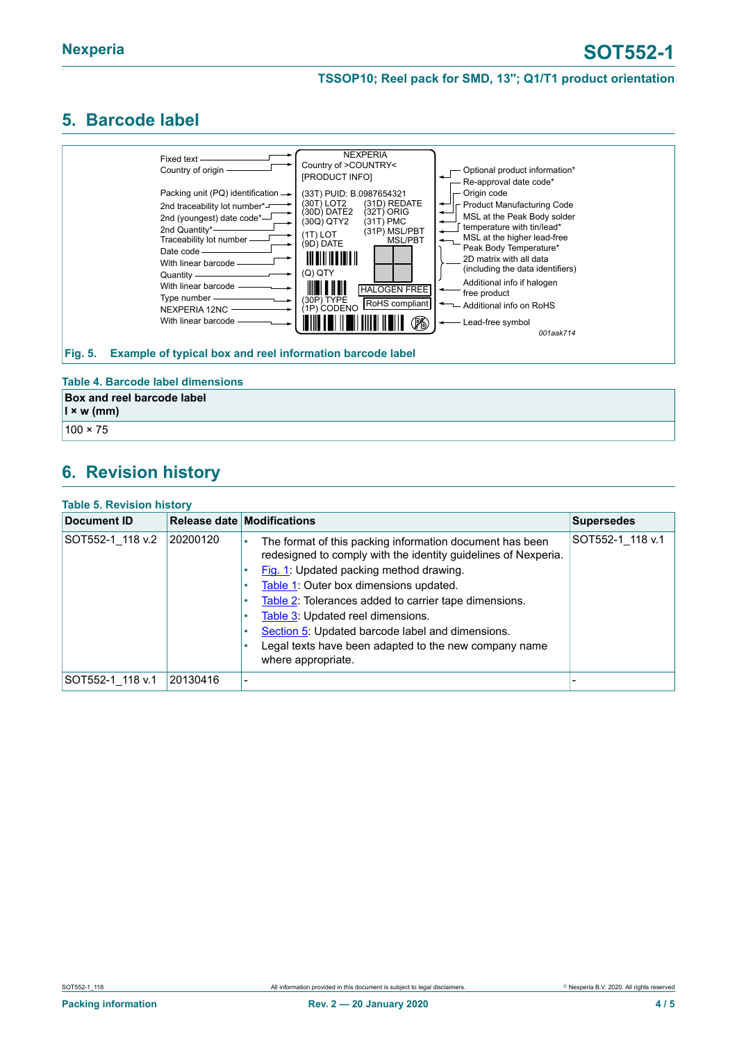#### **TSSOP10; Reel pack for SMD, 13''; Q1/T1 product orientation**

## <span id="page-3-0"></span>**5. Barcode label**



#### **Table 4. Barcode label dimensions**

| <b>Box and reel barcode label</b><br>$\vert x \mathbf{w} \vert$ (mm) |  |
|----------------------------------------------------------------------|--|
| $100 \times 75$                                                      |  |

### **6. Revision history**

#### **Table 5. Revision history**

| Document ID      |          | Release date Modifications                                                                                                                                                                                                                                                                                                                                                                                                                       | <b>Supersedes</b> |
|------------------|----------|--------------------------------------------------------------------------------------------------------------------------------------------------------------------------------------------------------------------------------------------------------------------------------------------------------------------------------------------------------------------------------------------------------------------------------------------------|-------------------|
| SOT552-1 118 v.2 | 20200120 | The format of this packing information document has been<br>redesigned to comply with the identity guidelines of Nexperia.<br>Fig. 1: Updated packing method drawing.<br>Table 1: Outer box dimensions updated.<br>Table 2: Tolerances added to carrier tape dimensions.<br>Table 3: Updated reel dimensions.<br>Section 5: Updated barcode label and dimensions.<br>Legal texts have been adapted to the new company name<br>where appropriate. | SOT552-1 118 v.1  |
| SOT552-1 118 v.1 | 20130416 |                                                                                                                                                                                                                                                                                                                                                                                                                                                  |                   |